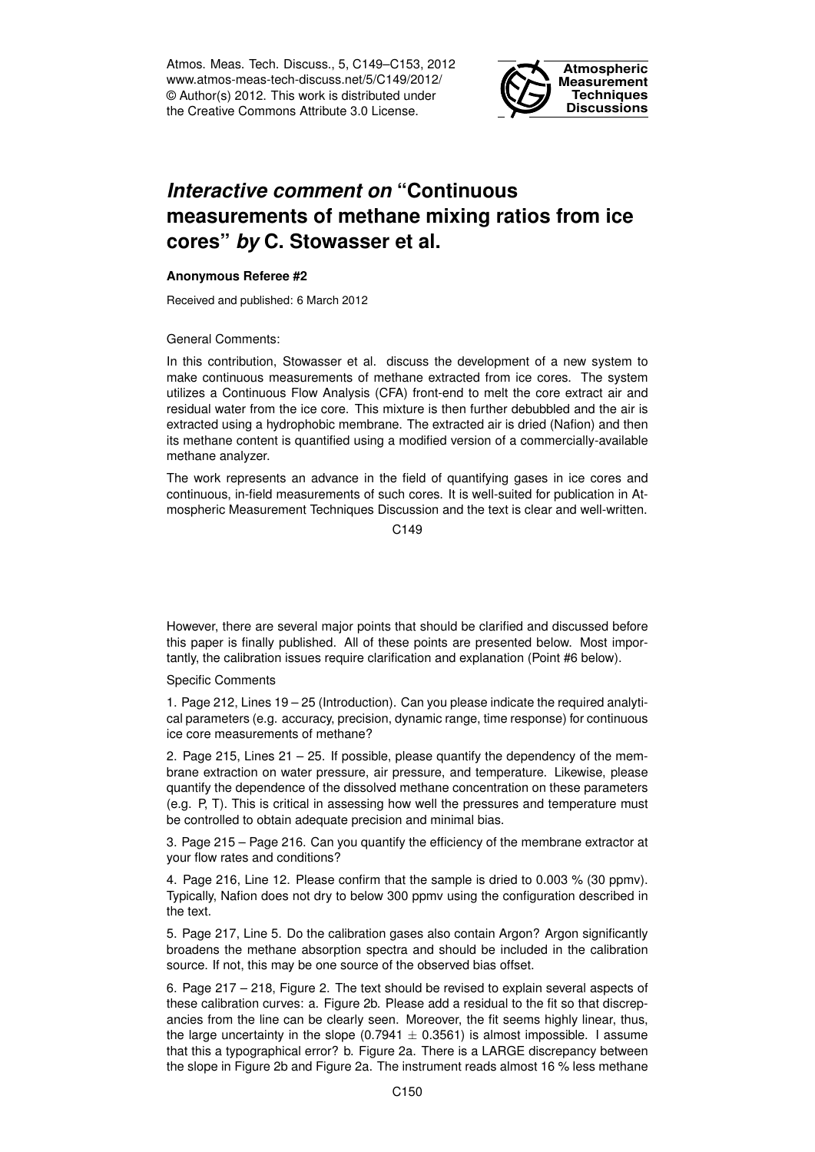Atmos. Meas. Tech. Discuss., 5, C149–C153, 2012 www.atmos-meas-tech-discuss.net/5/C149/2012/ © Author(s) 2012. This work is distributed under the Creative Commons Attribute 3.0 License.



## *Interactive comment on* **"Continuous measurements of methane mixing ratios from ice cores"** *by* **C. Stowasser et al.**

## **Anonymous Referee #2**

Received and published: 6 March 2012

General Comments:

In this contribution, Stowasser et al. discuss the development of a new system to make continuous measurements of methane extracted from ice cores. The system utilizes a Continuous Flow Analysis (CFA) front-end to melt the core extract air and residual water from the ice core. This mixture is then further debubbled and the air is extracted using a hydrophobic membrane. The extracted air is dried (Nafion) and then its methane content is quantified using a modified version of a commercially-available methane analyzer.

The work represents an advance in the field of quantifying gases in ice cores and continuous, in-field measurements of such cores. It is well-suited for publication in Atmospheric Measurement Techniques Discussion and the text is clear and well-written.

 $C.149$ 

However, there are several major points that should be clarified and discussed before this paper is finally published. All of these points are presented below. Most importantly, the calibration issues require clarification and explanation (Point #6 below).

## Specific Comments

1. Page 212, Lines 19 – 25 (Introduction). Can you please indicate the required analytical parameters (e.g. accuracy, precision, dynamic range, time response) for continuous ice core measurements of methane?

2. Page 215, Lines  $21 - 25$ . If possible, please quantify the dependency of the membrane extraction on water pressure, air pressure, and temperature. Likewise, please quantify the dependence of the dissolved methane concentration on these parameters (e.g. P, T). This is critical in assessing how well the pressures and temperature must be controlled to obtain adequate precision and minimal bias.

3. Page 215 – Page 216. Can you quantify the efficiency of the membrane extractor at your flow rates and conditions?

4. Page 216, Line 12. Please confirm that the sample is dried to 0.003 % (30 ppmv). Typically, Nafion does not dry to below 300 ppmv using the configuration described in the text.

5. Page 217, Line 5. Do the calibration gases also contain Argon? Argon significantly broadens the methane absorption spectra and should be included in the calibration source. If not, this may be one source of the observed bias offset.

6. Page 217 – 218, Figure 2. The text should be revised to explain several aspects of these calibration curves: a. Figure 2b. Please add a residual to the fit so that discrepancies from the line can be clearly seen. Moreover, the fit seems highly linear, thus, the large uncertainty in the slope  $(0.7941 \pm 0.3561)$  is almost impossible. I assume that this a typographical error? b. Figure 2a. There is a LARGE discrepancy between the slope in Figure 2b and Figure 2a. The instrument reads almost 16 % less methane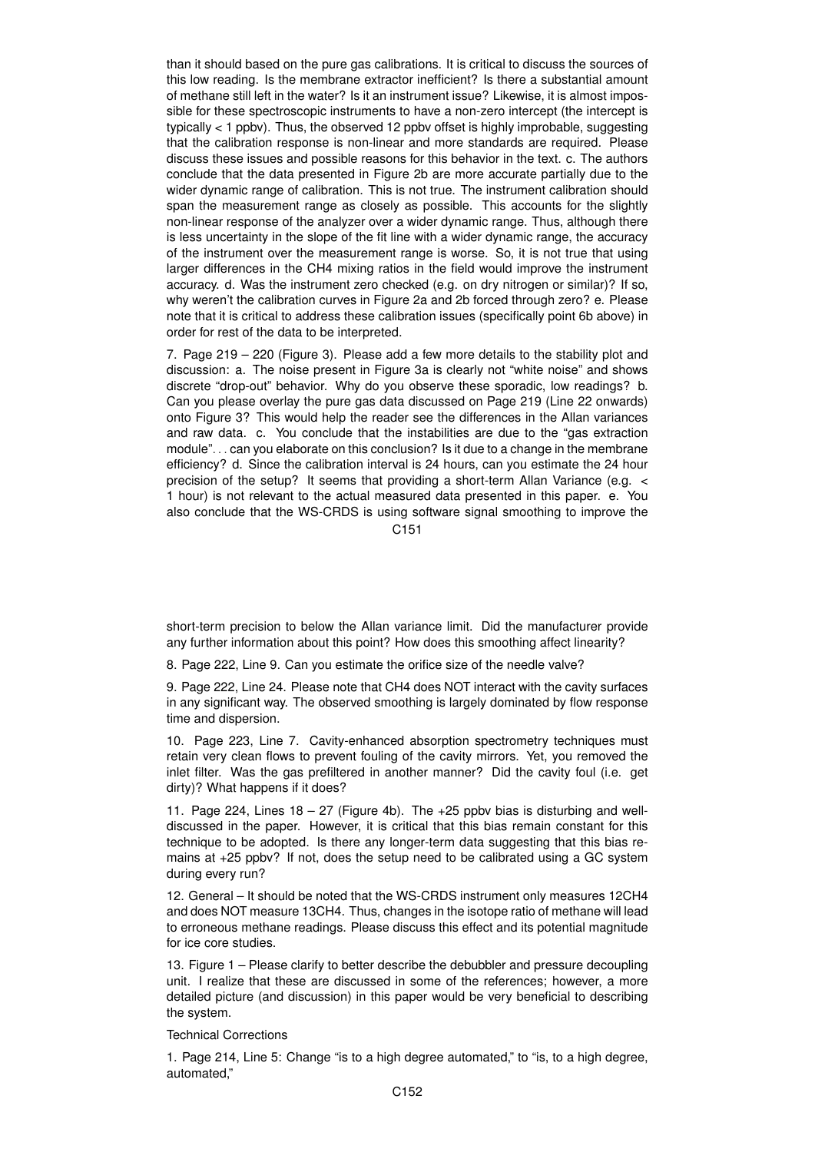than it should based on the pure gas calibrations. It is critical to discuss the sources of this low reading. Is the membrane extractor inefficient? Is there a substantial amount of methane still left in the water? Is it an instrument issue? Likewise, it is almost impossible for these spectroscopic instruments to have a non-zero intercept (the intercept is typically < 1 ppbv). Thus, the observed 12 ppbv offset is highly improbable, suggesting that the calibration response is non-linear and more standards are required. Please discuss these issues and possible reasons for this behavior in the text. c. The authors conclude that the data presented in Figure 2b are more accurate partially due to the wider dynamic range of calibration. This is not true. The instrument calibration should span the measurement range as closely as possible. This accounts for the slightly non-linear response of the analyzer over a wider dynamic range. Thus, although there is less uncertainty in the slope of the fit line with a wider dynamic range, the accuracy of the instrument over the measurement range is worse. So, it is not true that using larger differences in the CH4 mixing ratios in the field would improve the instrument accuracy. d. Was the instrument zero checked (e.g. on dry nitrogen or similar)? If so, why weren't the calibration curves in Figure 2a and 2b forced through zero? e. Please note that it is critical to address these calibration issues (specifically point 6b above) in order for rest of the data to be interpreted.

7. Page 219 – 220 (Figure 3). Please add a few more details to the stability plot and discussion: a. The noise present in Figure 3a is clearly not "white noise" and shows discrete "drop-out" behavior. Why do you observe these sporadic, low readings? b. Can you please overlay the pure gas data discussed on Page 219 (Line 22 onwards) onto Figure 3? This would help the reader see the differences in the Allan variances and raw data. c. You conclude that the instabilities are due to the "gas extraction module". . . can you elaborate on this conclusion? Is it due to a change in the membrane efficiency? d. Since the calibration interval is 24 hours, can you estimate the 24 hour precision of the setup? It seems that providing a short-term Allan Variance (e.g. < 1 hour) is not relevant to the actual measured data presented in this paper. e. You also conclude that the WS-CRDS is using software signal smoothing to improve the

C151

short-term precision to below the Allan variance limit. Did the manufacturer provide any further information about this point? How does this smoothing affect linearity?

8. Page 222, Line 9. Can you estimate the orifice size of the needle valve?

9. Page 222, Line 24. Please note that CH4 does NOT interact with the cavity surfaces in any significant way. The observed smoothing is largely dominated by flow response time and dispersion.

10. Page 223, Line 7. Cavity-enhanced absorption spectrometry techniques must retain very clean flows to prevent fouling of the cavity mirrors. Yet, you removed the inlet filter. Was the gas prefiltered in another manner? Did the cavity foul (i.e. get dirty)? What happens if it does?

11. Page 224, Lines  $18 - 27$  (Figure 4b). The  $+25$  ppby bias is disturbing and welldiscussed in the paper. However, it is critical that this bias remain constant for this technique to be adopted. Is there any longer-term data suggesting that this bias remains at +25 ppbv? If not, does the setup need to be calibrated using a GC system during every run?

12. General – It should be noted that the WS-CRDS instrument only measures 12CH4 and does NOT measure 13CH4. Thus, changes in the isotope ratio of methane will lead to erroneous methane readings. Please discuss this effect and its potential magnitude for ice core studies.

13. Figure 1 – Please clarify to better describe the debubbler and pressure decoupling unit. I realize that these are discussed in some of the references; however, a more detailed picture (and discussion) in this paper would be very beneficial to describing the system.

Technical Corrections

1. Page 214, Line 5: Change "is to a high degree automated," to "is, to a high degree, automated,"